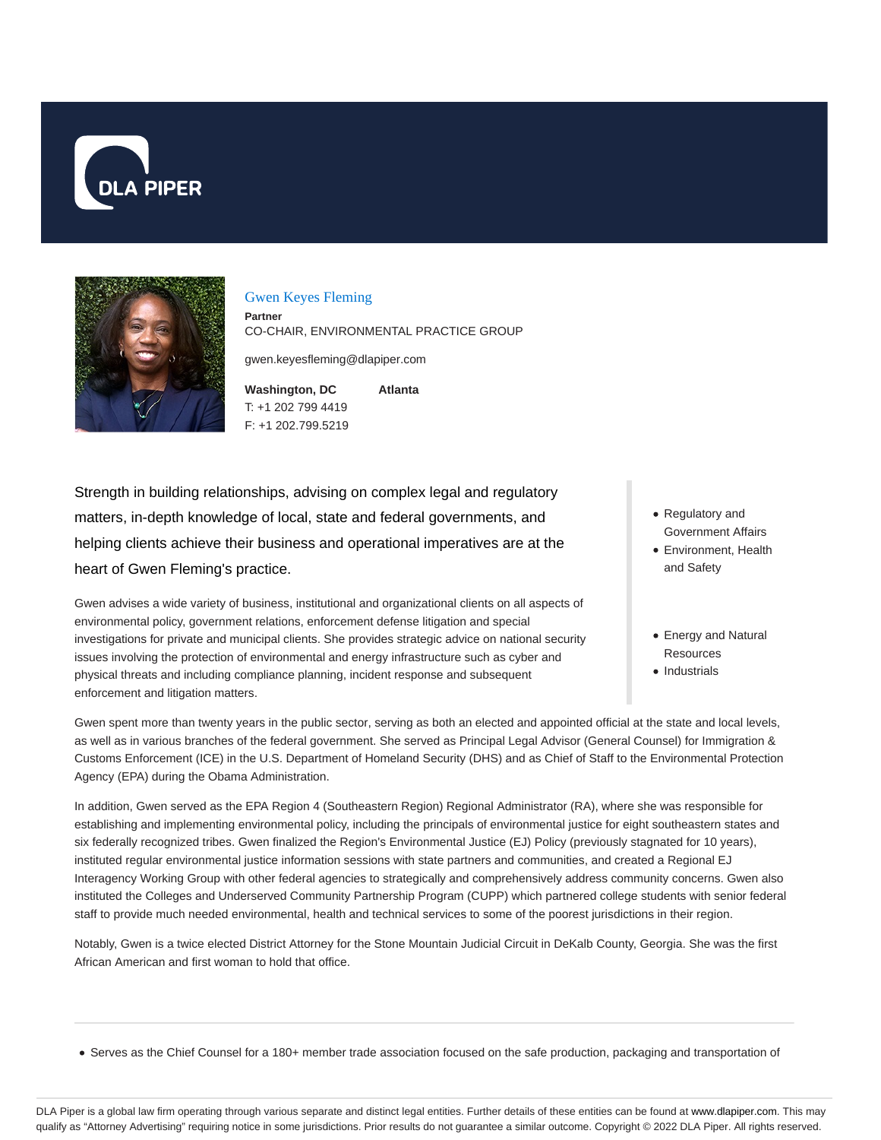



#### Gwen Keyes Fleming

**Partner** CO-CHAIR, ENVIRONMENTAL PRACTICE GROUP

gwen.keyesfleming@dlapiper.com

**Washington, DC** T: +1 202 799 4419 F: +1 202.799.5219 **Atlanta**

Strength in building relationships, advising on complex legal and regulatory matters, in-depth knowledge of local, state and federal governments, and helping clients achieve their business and operational imperatives are at the heart of Gwen Fleming's practice.

Gwen advises a wide variety of business, institutional and organizational clients on all aspects of environmental policy, government relations, enforcement defense litigation and special investigations for private and municipal clients. She provides strategic advice on national security issues involving the protection of environmental and energy infrastructure such as cyber and physical threats and including compliance planning, incident response and subsequent enforcement and litigation matters.

- Regulatory and Government Affairs
- Environment, Health and Safety
- Energy and Natural **Resources**
- Industrials

Gwen spent more than twenty years in the public sector, serving as both an elected and appointed official at the state and local levels, as well as in various branches of the federal government. She served as Principal Legal Advisor (General Counsel) for Immigration & Customs Enforcement (ICE) in the U.S. Department of Homeland Security (DHS) and as Chief of Staff to the Environmental Protection Agency (EPA) during the Obama Administration.

In addition, Gwen served as the EPA Region 4 (Southeastern Region) Regional Administrator (RA), where she was responsible for establishing and implementing environmental policy, including the principals of environmental justice for eight southeastern states and six federally recognized tribes. Gwen finalized the Region's Environmental Justice (EJ) Policy (previously stagnated for 10 years), instituted regular environmental justice information sessions with state partners and communities, and created a Regional EJ Interagency Working Group with other federal agencies to strategically and comprehensively address community concerns. Gwen also instituted the Colleges and Underserved Community Partnership Program (CUPP) which partnered college students with senior federal staff to provide much needed environmental, health and technical services to some of the poorest jurisdictions in their region.

Notably, Gwen is a twice elected District Attorney for the Stone Mountain Judicial Circuit in DeKalb County, Georgia. She was the first African American and first woman to hold that office.

Serves as the Chief Counsel for a 180+ member trade association focused on the safe production, packaging and transportation of

DLA Piper is a global law firm operating through various separate and distinct legal entities. Further details of these entities can be found at www.dlapiper.com. This may qualify as "Attorney Advertising" requiring notice in some jurisdictions. Prior results do not guarantee a similar outcome. Copyright © 2022 DLA Piper. All rights reserved.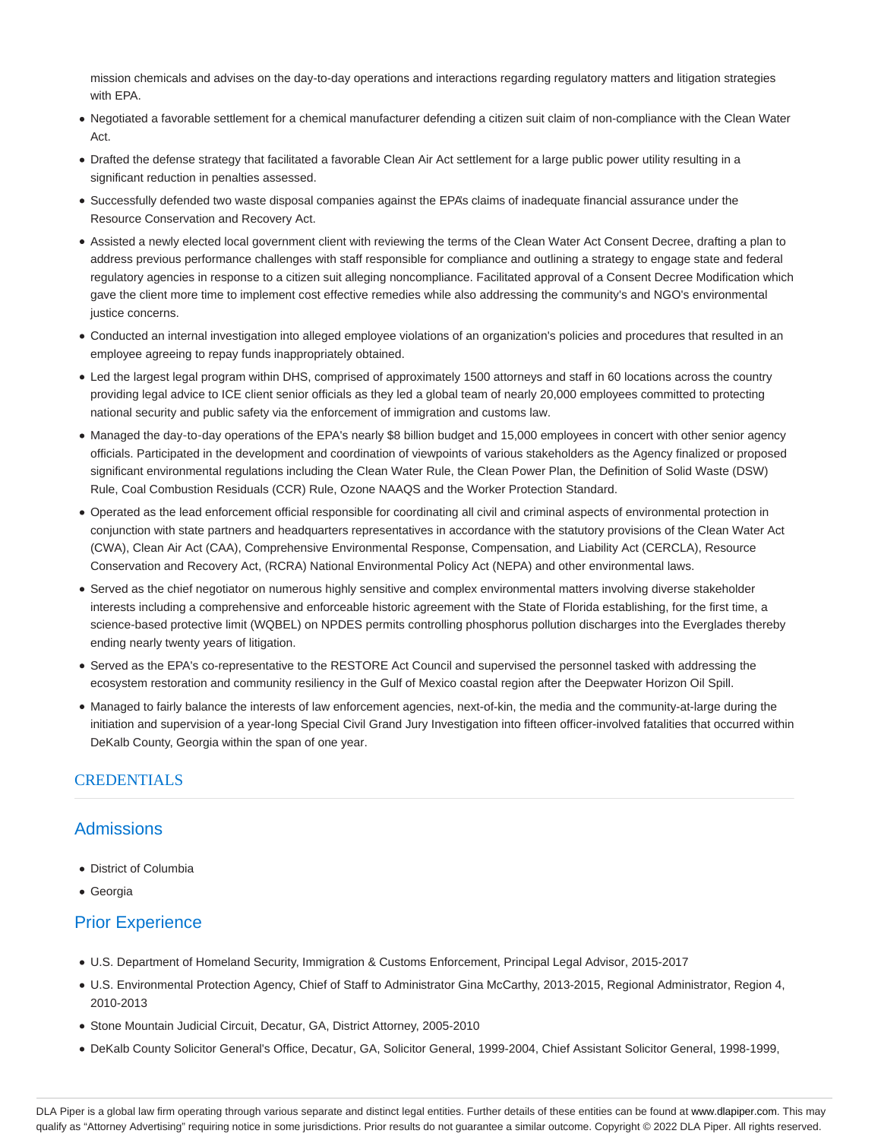mission chemicals and advises on the day-to-day operations and interactions regarding regulatory matters and litigation strategies with EPA.

- Negotiated a favorable settlement for a chemical manufacturer defending a citizen suit claim of non-compliance with the Clean Water Act.
- Drafted the defense strategy that facilitated a favorable Clean Air Act settlement for a large public power utility resulting in a significant reduction in penalties assessed.
- Successfully defended two waste disposal companies against the EPA's claims of inadequate financial assurance under the Resource Conservation and Recovery Act.
- Assisted a newly elected local government client with reviewing the terms of the Clean Water Act Consent Decree, drafting a plan to address previous performance challenges with staff responsible for compliance and outlining a strategy to engage state and federal regulatory agencies in response to a citizen suit alleging noncompliance. Facilitated approval of a Consent Decree Modification which gave the client more time to implement cost effective remedies while also addressing the community's and NGO's environmental justice concerns.
- Conducted an internal investigation into alleged employee violations of an organization's policies and procedures that resulted in an employee agreeing to repay funds inappropriately obtained.
- Led the largest legal program within DHS, comprised of approximately 1500 attorneys and staff in 60 locations across the country providing legal advice to ICE client senior officials as they led a global team of nearly 20,000 employees committed to protecting national security and public safety via the enforcement of immigration and customs law.
- Managed the day-to-day operations of the EPA's nearly \$8 billion budget and 15,000 employees in concert with other senior agency officials. Participated in the development and coordination of viewpoints of various stakeholders as the Agency finalized or proposed significant environmental regulations including the Clean Water Rule, the Clean Power Plan, the Definition of Solid Waste (DSW) Rule, Coal Combustion Residuals (CCR) Rule, Ozone NAAQS and the Worker Protection Standard.
- Operated as the lead enforcement official responsible for coordinating all civil and criminal aspects of environmental protection in conjunction with state partners and headquarters representatives in accordance with the statutory provisions of the Clean Water Act (CWA), Clean Air Act (CAA), Comprehensive Environmental Response, Compensation, and Liability Act (CERCLA), Resource Conservation and Recovery Act, (RCRA) National Environmental Policy Act (NEPA) and other environmental laws.
- Served as the chief negotiator on numerous highly sensitive and complex environmental matters involving diverse stakeholder interests including a comprehensive and enforceable historic agreement with the State of Florida establishing, for the first time, a science-based protective limit (WQBEL) on NPDES permits controlling phosphorus pollution discharges into the Everglades thereby ending nearly twenty years of litigation.
- Served as the EPA's co-representative to the RESTORE Act Council and supervised the personnel tasked with addressing the ecosystem restoration and community resiliency in the Gulf of Mexico coastal region after the Deepwater Horizon Oil Spill.
- Managed to fairly balance the interests of law enforcement agencies, next-of-kin, the media and the community-at-large during the initiation and supervision of a year-long Special Civil Grand Jury Investigation into fifteen officer-involved fatalities that occurred within DeKalb County, Georgia within the span of one year.

# **CREDENTIALS**

# **Admissions**

- District of Columbia
- Georgia

# Prior Experience

- U.S. Department of Homeland Security, Immigration & Customs Enforcement, Principal Legal Advisor, 2015-2017
- U.S. Environmental Protection Agency, Chief of Staff to Administrator Gina McCarthy, 2013-2015, Regional Administrator, Region 4, 2010-2013
- Stone Mountain Judicial Circuit, Decatur, GA, District Attorney, 2005-2010
- DeKalb County Solicitor General's Office, Decatur, GA, Solicitor General, 1999-2004, Chief Assistant Solicitor General, 1998-1999,

DLA Piper is a global law firm operating through various separate and distinct legal entities. Further details of these entities can be found at www.dlapiper.com. This may qualify as "Attorney Advertising" requiring notice in some jurisdictions. Prior results do not guarantee a similar outcome. Copyright @ 2022 DLA Piper. All rights reserved.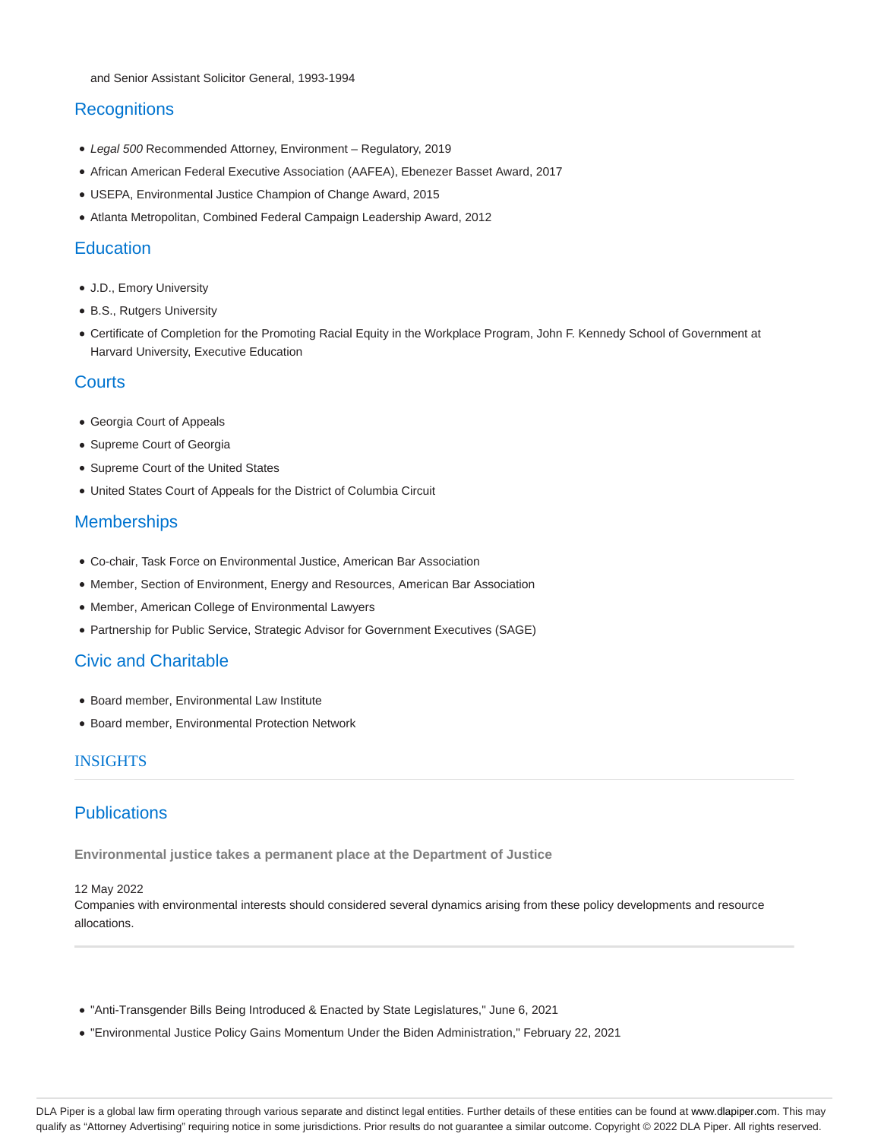# **Recognitions**

- Legal 500 Recommended Attorney, Environment Regulatory, 2019
- African American Federal Executive Association (AAFEA), Ebenezer Basset Award, 2017
- USEPA, Environmental Justice Champion of Change Award, 2015
- Atlanta Metropolitan, Combined Federal Campaign Leadership Award, 2012

#### **Education**

- J.D., Emory University
- B.S., Rutgers University
- Certificate of Completion for the Promoting Racial Equity in the Workplace Program, John F. Kennedy School of Government at Harvard University, Executive Education

#### **Courts**

- Georgia Court of Appeals
- Supreme Court of Georgia
- Supreme Court of the United States
- United States Court of Appeals for the District of Columbia Circuit

### **Memberships**

- Co-chair, Task Force on Environmental Justice, American Bar Association
- Member, Section of Environment, Energy and Resources, American Bar Association
- Member, American College of Environmental Lawyers
- Partnership for Public Service, Strategic Advisor for Government Executives (SAGE)

# Civic and Charitable

- Board member, Environmental Law Institute
- Board member, Environmental Protection Network

#### INSIGHTS

# **Publications**

**Environmental justice takes a permanent place at the Department of Justice**

#### 12 May 2022

Companies with environmental interests should considered several dynamics arising from these policy developments and resource allocations.

- "Anti-Transgender Bills Being Introduced & Enacted by State Legislatures," June 6, 2021
- "Environmental Justice Policy Gains Momentum Under the Biden Administration," February 22, 2021

DLA Piper is a global law firm operating through various separate and distinct legal entities. Further details of these entities can be found at www.dlapiper.com. This may qualify as "Attorney Advertising" requiring notice in some jurisdictions. Prior results do not guarantee a similar outcome. Copyright © 2022 DLA Piper. All rights reserved.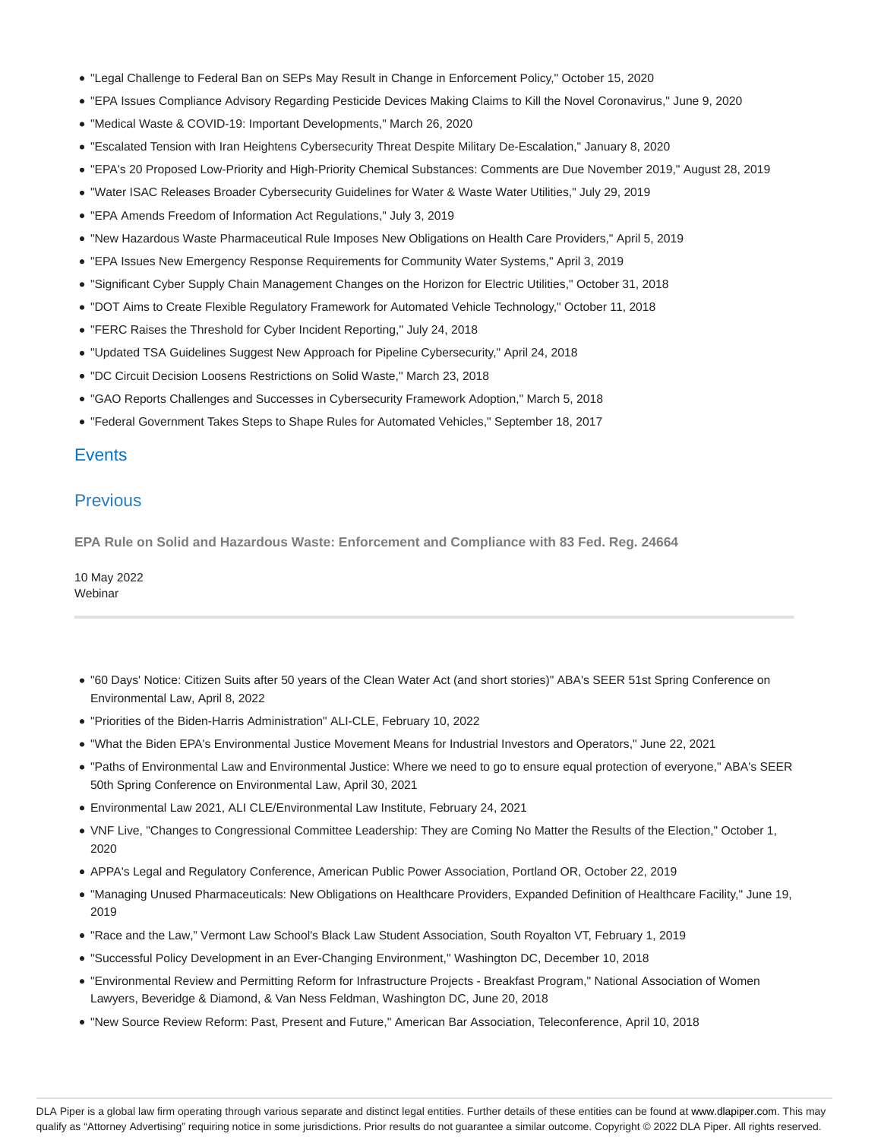- "Legal Challenge to Federal Ban on SEPs May Result in Change in Enforcement Policy," October 15, 2020
- "EPA Issues Compliance Advisory Regarding Pesticide Devices Making Claims to Kill the Novel Coronavirus," June 9, 2020
- "Medical Waste & COVID-19: Important Developments," March 26, 2020
- "Escalated Tension with Iran Heightens Cybersecurity Threat Despite Military De-Escalation," January 8, 2020
- "EPA's 20 Proposed Low-Priority and High-Priority Chemical Substances: Comments are Due November 2019," August 28, 2019
- "Water ISAC Releases Broader Cybersecurity Guidelines for Water & Waste Water Utilities," July 29, 2019
- "EPA Amends Freedom of Information Act Regulations," July 3, 2019
- "New Hazardous Waste Pharmaceutical Rule Imposes New Obligations on Health Care Providers," April 5, 2019
- "EPA Issues New Emergency Response Requirements for Community Water Systems," April 3, 2019
- "Significant Cyber Supply Chain Management Changes on the Horizon for Electric Utilities," October 31, 2018
- "DOT Aims to Create Flexible Regulatory Framework for Automated Vehicle Technology," October 11, 2018
- "FERC Raises the Threshold for Cyber Incident Reporting," July 24, 2018
- "Updated TSA Guidelines Suggest New Approach for Pipeline Cybersecurity," April 24, 2018
- "DC Circuit Decision Loosens Restrictions on Solid Waste," March 23, 2018
- "GAO Reports Challenges and Successes in Cybersecurity Framework Adoption," March 5, 2018
- "Federal Government Takes Steps to Shape Rules for Automated Vehicles," September 18, 2017

### **Events**

#### **Previous**

**EPA Rule on Solid and Hazardous Waste: Enforcement and Compliance with 83 Fed. Reg. 24664**

10 May 2022 Webinar

- "60 Days' Notice: Citizen Suits after 50 years of the Clean Water Act (and short stories)" ABA's SEER 51st Spring Conference on Environmental Law, April 8, 2022
- "Priorities of the Biden-Harris Administration" ALI-CLE, February 10, 2022
- "What the Biden EPA's Environmental Justice Movement Means for Industrial Investors and Operators," June 22, 2021
- "Paths of Environmental Law and Environmental Justice: Where we need to go to ensure equal protection of everyone," ABA's SEER 50th Spring Conference on Environmental Law, April 30, 2021
- Environmental Law 2021, ALI CLE/Environmental Law Institute, February 24, 2021
- VNF Live, "Changes to Congressional Committee Leadership: They are Coming No Matter the Results of the Election," October 1, 2020
- APPA's Legal and Regulatory Conference, American Public Power Association, Portland OR, October 22, 2019
- "Managing Unused Pharmaceuticals: New Obligations on Healthcare Providers, Expanded Definition of Healthcare Facility," June 19, 2019
- "Race and the Law," Vermont Law School's Black Law Student Association, South Royalton VT, February 1, 2019
- "Successful Policy Development in an Ever-Changing Environment," Washington DC, December 10, 2018
- "Environmental Review and Permitting Reform for Infrastructure Projects Breakfast Program," National Association of Women Lawyers, Beveridge & Diamond, & Van Ness Feldman, Washington DC, June 20, 2018
- "New Source Review Reform: Past, Present and Future," American Bar Association, Teleconference, April 10, 2018